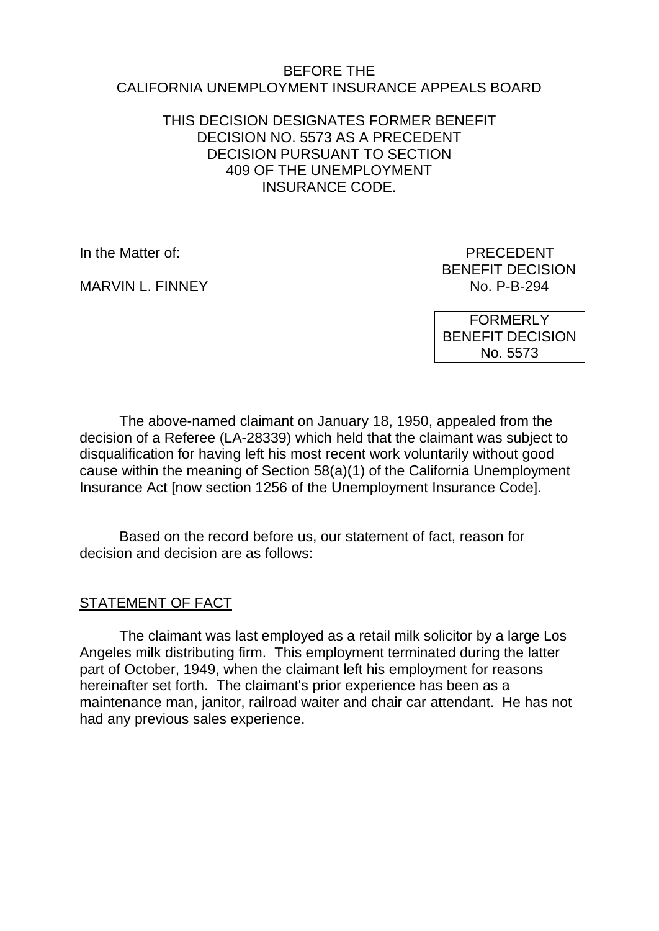#### BEFORE THE CALIFORNIA UNEMPLOYMENT INSURANCE APPEALS BOARD

## THIS DECISION DESIGNATES FORMER BENEFIT DECISION NO. 5573 AS A PRECEDENT DECISION PURSUANT TO SECTION 409 OF THE UNEMPLOYMENT INSURANCE CODE.

MARVIN L. FINNEY

In the Matter of: **PRECEDENT** BENEFIT DECISION<br>No. P-B-294

> FORMERLY BENEFIT DECISION No. 5573

The above-named claimant on January 18, 1950, appealed from the decision of a Referee (LA-28339) which held that the claimant was subject to disqualification for having left his most recent work voluntarily without good cause within the meaning of Section 58(a)(1) of the California Unemployment Insurance Act [now section 1256 of the Unemployment Insurance Code].

Based on the record before us, our statement of fact, reason for decision and decision are as follows:

#### STATEMENT OF FACT

The claimant was last employed as a retail milk solicitor by a large Los Angeles milk distributing firm. This employment terminated during the latter part of October, 1949, when the claimant left his employment for reasons hereinafter set forth. The claimant's prior experience has been as a maintenance man, janitor, railroad waiter and chair car attendant. He has not had any previous sales experience.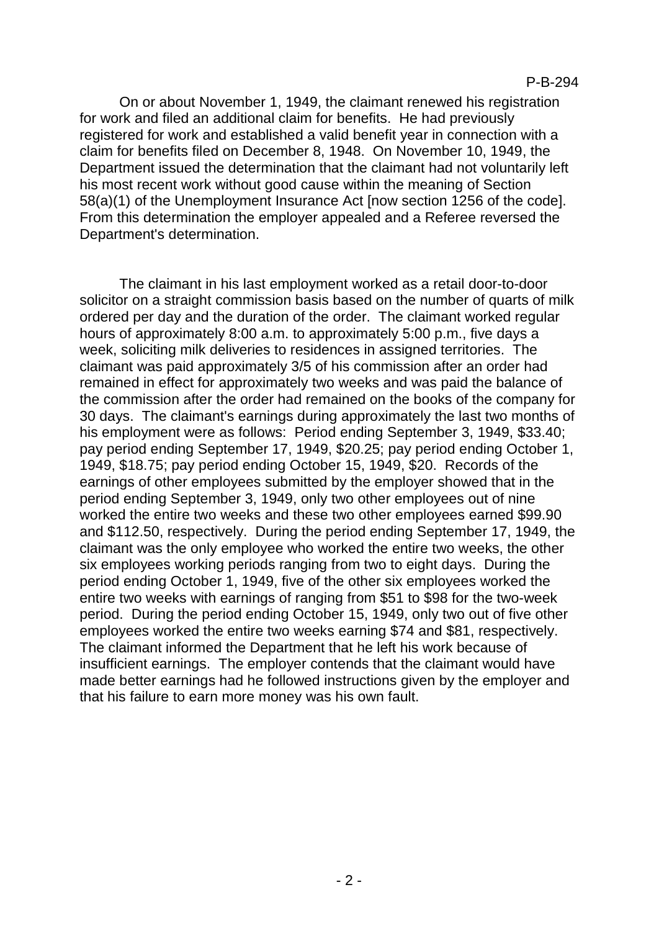On or about November 1, 1949, the claimant renewed his registration for work and filed an additional claim for benefits. He had previously registered for work and established a valid benefit year in connection with a claim for benefits filed on December 8, 1948. On November 10, 1949, the Department issued the determination that the claimant had not voluntarily left his most recent work without good cause within the meaning of Section 58(a)(1) of the Unemployment Insurance Act [now section 1256 of the code]. From this determination the employer appealed and a Referee reversed the Department's determination.

The claimant in his last employment worked as a retail door-to-door solicitor on a straight commission basis based on the number of quarts of milk ordered per day and the duration of the order. The claimant worked regular hours of approximately 8:00 a.m. to approximately 5:00 p.m., five days a week, soliciting milk deliveries to residences in assigned territories. The claimant was paid approximately 3/5 of his commission after an order had remained in effect for approximately two weeks and was paid the balance of the commission after the order had remained on the books of the company for 30 days. The claimant's earnings during approximately the last two months of his employment were as follows: Period ending September 3, 1949, \$33.40; pay period ending September 17, 1949, \$20.25; pay period ending October 1, 1949, \$18.75; pay period ending October 15, 1949, \$20. Records of the earnings of other employees submitted by the employer showed that in the period ending September 3, 1949, only two other employees out of nine worked the entire two weeks and these two other employees earned \$99.90 and \$112.50, respectively. During the period ending September 17, 1949, the claimant was the only employee who worked the entire two weeks, the other six employees working periods ranging from two to eight days. During the period ending October 1, 1949, five of the other six employees worked the entire two weeks with earnings of ranging from \$51 to \$98 for the two-week period. During the period ending October 15, 1949, only two out of five other employees worked the entire two weeks earning \$74 and \$81, respectively. The claimant informed the Department that he left his work because of insufficient earnings. The employer contends that the claimant would have made better earnings had he followed instructions given by the employer and that his failure to earn more money was his own fault.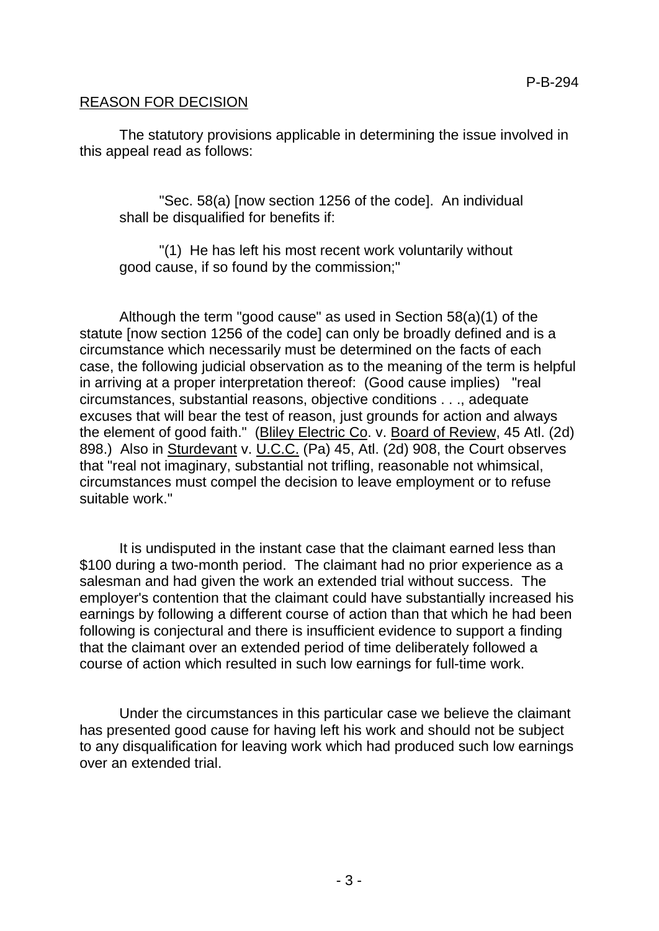## REASON FOR DECISION

The statutory provisions applicable in determining the issue involved in this appeal read as follows:

"Sec. 58(a) [now section 1256 of the code]. An individual shall be disqualified for benefits if:

"(1) He has left his most recent work voluntarily without good cause, if so found by the commission;"

Although the term "good cause" as used in Section 58(a)(1) of the statute [now section 1256 of the code] can only be broadly defined and is a circumstance which necessarily must be determined on the facts of each case, the following judicial observation as to the meaning of the term is helpful in arriving at a proper interpretation thereof: (Good cause implies) "real circumstances, substantial reasons, objective conditions . . ., adequate excuses that will bear the test of reason, just grounds for action and always the element of good faith." (Bliley Electric Co. v. Board of Review, 45 Atl. (2d) 898.) Also in Sturdevant v. U.C.C. (Pa) 45, Atl. (2d) 908, the Court observes that "real not imaginary, substantial not trifling, reasonable not whimsical, circumstances must compel the decision to leave employment or to refuse suitable work."

It is undisputed in the instant case that the claimant earned less than \$100 during a two-month period. The claimant had no prior experience as a salesman and had given the work an extended trial without success. The employer's contention that the claimant could have substantially increased his earnings by following a different course of action than that which he had been following is conjectural and there is insufficient evidence to support a finding that the claimant over an extended period of time deliberately followed a course of action which resulted in such low earnings for full-time work.

Under the circumstances in this particular case we believe the claimant has presented good cause for having left his work and should not be subject to any disqualification for leaving work which had produced such low earnings over an extended trial.